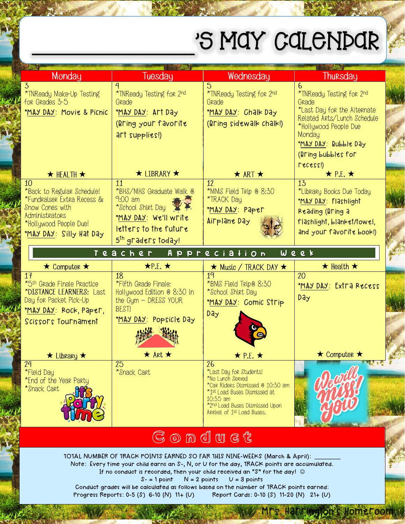## 'S MAY CALENDAR

| Monday                                                                                                                                                        | Tuesday                                                                                                                                             | Wednesday                                                                                                                                                                                   | Thursday                                                                                                                                                                              |
|---------------------------------------------------------------------------------------------------------------------------------------------------------------|-----------------------------------------------------------------------------------------------------------------------------------------------------|---------------------------------------------------------------------------------------------------------------------------------------------------------------------------------------------|---------------------------------------------------------------------------------------------------------------------------------------------------------------------------------------|
| 3<br>*TNReady Make-Up Testing<br>for Grades 3-5<br>"MAY DAY: Movie & Picnic                                                                                   | 4<br>*TNReady Testing for 2nd<br>Grade<br>MAY DAY: Art Day<br>(Bring your favorite<br>art supplies!)                                                | 5<br>*TNReady Testing for 2nd<br>Grade<br>MAY DAY: Chalk Day<br>(Bring sidewalk chalk!)                                                                                                     | 6.<br>*TNReady Testing for 2nd<br>Grade<br>*Last Day for the Alternate<br>Related Arts/Lunch Schedule<br>*Hollywood People Due<br>Monday<br>MAY DAY: Bubble Day<br>(Bring bubbles for |
| $\star$ HEALTH $\star$                                                                                                                                        | $\star$ LIBRARY $\star$                                                                                                                             | $\star$ ART $\star$                                                                                                                                                                         | LSC622)<br>$\star$ P.E. $\star$                                                                                                                                                       |
| 10<br>*Back to Regular Schedule!<br>*Fundraiser Extra Recess &<br><b>Snow Cones with</b><br>Administrators<br>*Hollywood People Due!<br>MAY DAY Silly Hat Day | $\overline{11}$<br>*BHS/MHS Graduate Walk @<br>$9:00$ am<br>*School Shirt Day<br>MAY DAY We'll write<br>letters to the future<br>5th graders today! | $\overline{12}$<br>*MMS Field Trip @ 8:30<br>*TRACK Day<br>MAY DAY: Paper<br>Airplane Day                                                                                                   | 13<br>*Library Books Due Today<br>MAY DAY Flashlight<br>Reading (Bring a<br>flashlight, blanket/towel,<br>and your favorite book!)                                                    |
|                                                                                                                                                               | Teacher                                                                                                                                             | A p p r e c i a l i o n                                                                                                                                                                     | Week                                                                                                                                                                                  |
| $\star$ Computer $\star$                                                                                                                                      | $\star$ P.E. $\star$                                                                                                                                | $\star$ Music / TRACK DAY $\star$                                                                                                                                                           | $\star$ Health $\star$                                                                                                                                                                |
| 17<br>*5 <sup>th</sup> Grade Finale Practice<br>*DISTANCE LEARNERS: Last<br>Day for Packet Pick-Up<br>MAY DAY Rock, Paper,<br>Scissors Tournament             | 18<br>*Fifth Grade Finale:<br>Hollywood Edition @ 8:30 in<br>the $Gym - DRESS$ YOUR<br>BEST!<br>MAY DAY: Popsicle Day                               | 19<br>*BMS Field Trip® 8:30<br>*School Shirt Day<br>MAY DAY: Comic Strip<br><b>Day</b>                                                                                                      | 20<br>MAY DAY: Extra Recess<br>Day                                                                                                                                                    |
| $\star$ Library $\star$<br>24                                                                                                                                 | $\star$ Art $\star$<br>25                                                                                                                           | $\star$ P.E. $\star$<br>26                                                                                                                                                                  | $\star$ Computer $\star$                                                                                                                                                              |
| *Field Day<br>*End of the Year Party<br>*Snack Cart                                                                                                           | *Snack Cart                                                                                                                                         | *Last Day for Students!<br>*No Lunch Served<br>*Car Riders Dismissed @ 10:30 am<br>*1st Load Buses Dismissed at<br>10:35 am<br>*2nd Load Buses Dismissed Upon<br>Arrival of 1st Load Buses. |                                                                                                                                                                                       |

## Gonduct

TOTAL NUMBER OF TRACK POINTS EARNED SO FAR THIS NINE-WEEKS (March & April): Note: Every time your child earns an S-, N, or U for the day, TRACK points are accumulated. If no conduct is recorded, then your child received an "S" for the day!  $\odot$ 

 $S = 1$  point  $N = 2$  points  $U = 3$  points

Conduct grades will be calculated as follows based on the number of TRACK points earned: Progress Reports: 0-5 (S) 6-10 (N) 11+ (U) Report Cards: 0-10 (S) 11-20 (N) 21+ (U)

Homeroom<sub>s</sub>